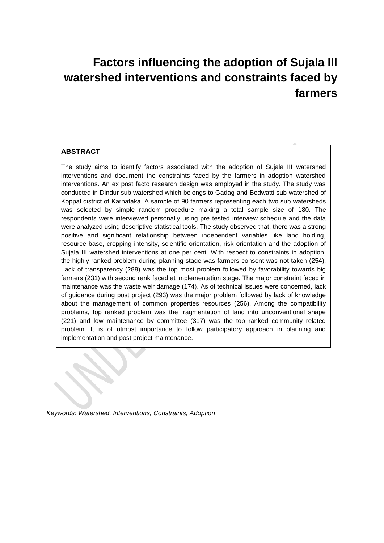# **Factors influencing the adoption of Sujala III watershed interventions and constraints faced by farmers**

# **ABSTRACT**

The study aims to identify factors associated with the adoption of Sujala III watershed interventions and document the constraints faced by the farmers in adoption watershed interventions. An ex post facto research design was employed in the study. The study was conducted in Dindur sub watershed which belongs to Gadag and Bedwatti sub watershed of Koppal district of Karnataka. A sample of 90 farmers representing each two sub watersheds was selected by simple random procedure making a total sample size of 180. The respondents were interviewed personally using pre tested interview schedule and the data were analyzed using descriptive statistical tools. The study observed that, there was a strong positive and significant relationship between independent variables like land holding, resource base, cropping intensity, scientific orientation, risk orientation and the adoption of Sujala III watershed interventions at one per cent. With respect to constraints in adoption, the highly ranked problem during planning stage was farmers consent was not taken (254). Lack of transparency (288) was the top most problem followed by favorability towards big farmers (231) with second rank faced at implementation stage. The major constraint faced in maintenance was the waste weir damage (174). As of technical issues were concerned, lack of guidance during post project (293) was the major problem followed by lack of knowledge about the management of common properties resources (256). Among the compatibility problems, top ranked problem was the fragmentation of land into unconventional shape (221) and low maintenance by committee (317) was the top ranked community related problem. It is of utmost importance to follow participatory approach in planning and implementation and post project maintenance.

*Keywords: Watershed, Interventions, Constraints, Adoption*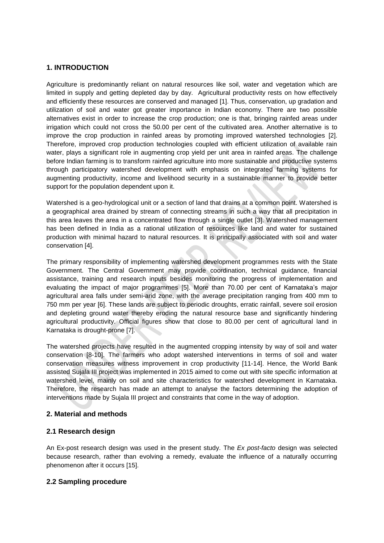# **1. INTRODUCTION**

Agriculture is predominantly reliant on natural resources like soil, water and vegetation which are limited in supply and getting depleted day by day. Agricultural productivity rests on how effectively and efficiently these resources are conserved and managed [1]. Thus, conservation, up gradation and utilization of soil and water got greater importance in Indian economy. There are two possible alternatives exist in order to increase the crop production; one is that, bringing rainfed areas under irrigation which could not cross the 50.00 per cent of the cultivated area. Another alternative is to improve the crop production in rainfed areas by promoting improved watershed technologies [2]. Therefore, improved crop production technologies coupled with efficient utilization of available rain water, plays a significant role in augmenting crop yield per unit area in rainfed areas. The challenge before Indian farming is to transform rainfed agriculture into more sustainable and productive systems through participatory watershed development with emphasis on integrated farming systems for augmenting productivity, income and livelihood security in a sustainable manner to provide better support for the population dependent upon it.

Watershed is a geo-hydrological unit or a section of land that drains at a common point. Watershed is a geographical area drained by stream of connecting streams in such a way that all precipitation in this area leaves the area in a concentrated flow through a single outlet [3]. Watershed management has been defined in India as a rational utilization of resources like land and water for sustained production with minimal hazard to natural resources. It is principally associated with soil and water conservation [4].

The primary responsibility of implementing watershed development programmes rests with the State Government. The Central Government may provide coordination, technical guidance, financial assistance, training and research inputs besides monitoring the progress of implementation and evaluating the impact of major programmes [5]. More than 70.00 per cent of Karnataka's major agricultural area falls under semi-arid zone, with the average precipitation ranging from 400 mm to 750 mm per year [6]. These lands are subject to periodic droughts, erratic rainfall, severe soil erosion and depleting ground water thereby eroding the natural resource base and significantly hindering agricultural productivity. Official figures show that close to 80.00 per cent of agricultural land in Karnataka is drought-prone [7].

The watershed projects have resulted in the augmented cropping intensity by way of soil and water conservation [8-10]. The farmers who adopt watershed interventions in terms of soil and water conservation measures witness improvement in crop productivity [11-14]. Hence, the World Bank assisted Sujala III project was implemented in 2015 aimed to come out with site specific information at watershed level, mainly on soil and site characteristics for watershed development in Karnataka. Therefore, the research has made an attempt to analyse the factors determining the adoption of interventions made by Sujala III project and constraints that come in the way of adoption.

### **2. Material and methods**

### **2.1 Research design**

An Ex-post research design was used in the present study. The *Ex post-facto* design was selected because research, rather than evolving a remedy, evaluate the influence of a naturally occurring phenomenon after it occurs [15].

### **2.2 Sampling procedure**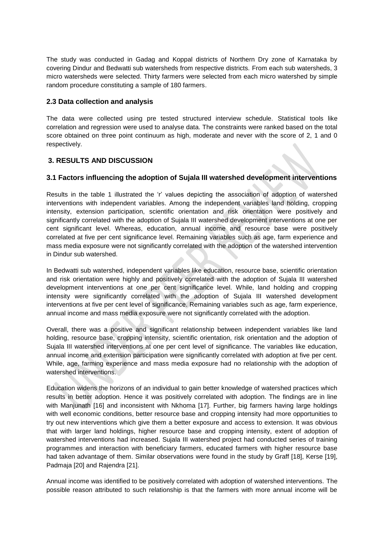The study was conducted in Gadag and Koppal districts of Northern Dry zone of Karnataka by covering Dindur and Bedwatti sub watersheds from respective districts. From each sub watersheds, 3 micro watersheds were selected. Thirty farmers were selected from each micro watershed by simple random procedure constituting a sample of 180 farmers.

# **2.3 Data collection and analysis**

The data were collected using pre tested structured interview schedule. Statistical tools like correlation and regression were used to analyse data. The constraints were ranked based on the total score obtained on three point continuum as high, moderate and never with the score of 2, 1 and 0 respectively.

# **3. RESULTS AND DISCUSSION**

# **3.1 Factors influencing the adoption of Sujala III watershed development interventions**

Results in the table 1 illustrated the 'r' values depicting the association of adoption of watershed interventions with independent variables. Among the independent variables land holding, cropping intensity, extension participation, scientific orientation and risk orientation were positively and significantly correlated with the adoption of Sujala III watershed development interventions at one per cent significant level. Whereas, education, annual income and resource base were positively correlated at five per cent significance level. Remaining variables such as age, farm experience and mass media exposure were not significantly correlated with the adoption of the watershed intervention in Dindur sub watershed.

In Bedwatti sub watershed, independent variables like education, resource base, scientific orientation and risk orientation were highly and positively correlated with the adoption of Sujala III watershed development interventions at one per cent significance level. While, land holding and cropping intensity were significantly correlated with the adoption of Sujala III watershed development interventions at five per cent level of significance. Remaining variables such as age, farm experience, annual income and mass media exposure were not significantly correlated with the adoption.

Overall, there was a positive and significant relationship between independent variables like land holding, resource base, cropping intensity, scientific orientation, risk orientation and the adoption of Sujala III watershed interventions at one per cent level of significance. The variables like education, annual income and extension participation were significantly correlated with adoption at five per cent. While, age, farming experience and mass media exposure had no relationship with the adoption of watershed interventions.

Education widens the horizons of an individual to gain better knowledge of watershed practices which results in better adoption. Hence it was positively correlated with adoption. The findings are in line with Manjunath [16] and inconsistent with Nkhoma [17]. Further, big farmers having large holdings with well economic conditions, better resource base and cropping intensity had more opportunities to try out new interventions which give them a better exposure and access to extension. It was obvious that with larger land holdings, higher resource base and cropping intensity, extent of adoption of watershed interventions had increased. Sujala III watershed project had conducted series of training programmes and interaction with beneficiary farmers, educated farmers with higher resource base had taken advantage of them. Similar observations were found in the study by Graff [18], Kerse [19], Padmaja [20] and Rajendra [21].

Annual income was identified to be positively correlated with adoption of watershed interventions. The possible reason attributed to such relationship is that the farmers with more annual income will be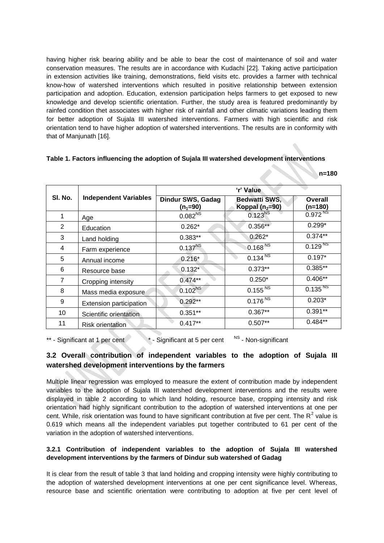having higher risk bearing ability and be able to bear the cost of maintenance of soil and water conservation measures. The results are in accordance with Kudachi [22]. Taking active participation in extension activities like training, demonstrations, field visits etc. provides a farmer with technical know-how of watershed interventions which resulted in positive relationship between extension participation and adoption. Education, extension participation helps farmers to get exposed to new knowledge and develop scientific orientation. Further, the study area is featured predominantly by rainfed condition thet associates with higher risk of rainfall and other climatic variations leading them for better adoption of Sujala III watershed interventions. Farmers with high scientific and risk orientation tend to have higher adoption of watershed interventions. The results are in conformity with that of Manjunath [16].

### **Table 1. Factors influencing the adoption of Sujala III watershed development interventions**

**n=180**

|                | <b>Independent Variables</b> | 'r' Value                       |                                           |                      |  |
|----------------|------------------------------|---------------------------------|-------------------------------------------|----------------------|--|
| SI. No.        |                              | Dindur SWS, Gadag<br>$(n_1=90)$ | <b>Bedwatti SWS,</b><br>Koppal $(n_2=90)$ | Overall<br>$(n=180)$ |  |
| 1              | Age                          | $0.082^{NS}$                    | $0.123^{N_S}$                             | $0.972^{N_S}$        |  |
| 2              | Education                    | $0.262*$                        | $0.356**$                                 | $0.299*$             |  |
| 3              | Land holding                 | $0.383**$                       | $0.262*$                                  | $0.374**$            |  |
| 4              | Farm experience              | $0.137^{NS}$                    | 0.168 $^{N\overline{S}}$                  | $0.129^{N_S}$        |  |
| 5              | Annual income                | $0.216*$                        | 0.134 <sup>NS</sup>                       | $0.197*$             |  |
| 6              | Resource base                | $0.132*$                        | $0.373**$                                 | $0.385**$            |  |
| $\overline{7}$ | Cropping intensity           | $0.474**$                       | $0.250*$                                  | $0.406**$            |  |
| 8              | Mass media exposure          | $0.102^{NS}$                    | $0.155^{NS}$                              | $0.135^{NST}$        |  |
| 9              | Extension participation      | $0.292**$                       | 0.176 <sup>NS</sup>                       | $0.203*$             |  |
| 10             | Scientific orientation       | $0.351**$                       | $0.367**$                                 | $0.391**$            |  |
| 11             | <b>Risk orientation</b>      | $0.417**$                       | $0.507**$                                 | $0.484**$            |  |

#### \*\* - Significant at 1 per cent \* - Significant at 5 per cent <sup>NS</sup> - Non-significant

# **3.2 Overall contribution of independent variables to the adoption of Sujala III watershed development interventions by the farmers**

Multiple linear regression was employed to measure the extent of contribution made by independent variables to the adoption of Sujala III watershed development interventions and the results were displayed in table 2 according to which land holding, resource base, cropping intensity and risk orientation had highly significant contribution to the adoption of watershed interventions at one per cent. While, risk orientation was found to have significant contribution at five per cent. The  $R^2$  value is 0.619 which means all the independent variables put together contributed to 61 per cent of the variation in the adoption of watershed interventions.

# **3.2.1 Contribution of independent variables to the adoption of Sujala III watershed development interventions by the farmers of Dindur sub watershed of Gadag**

It is clear from the result of table 3 that land holding and cropping intensity were highly contributing to the adoption of watershed development interventions at one per cent significance level. Whereas, resource base and scientific orientation were contributing to adoption at five per cent level of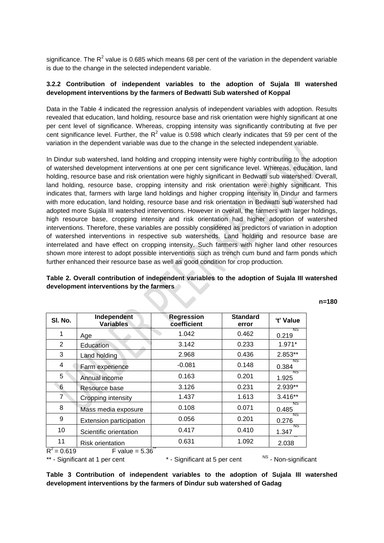significance. The R<sup>2</sup> value is 0.685 which means 68 per cent of the variation in the dependent variable is due to the change in the selected independent variable.

### **3.2.2 Contribution of independent variables to the adoption of Sujala III watershed development interventions by the farmers of Bedwatti Sub watershed of Koppal**

Data in the Table 4 indicated the regression analysis of independent variables with adoption. Results revealed that education, land holding, resource base and risk orientation were highly significant at one per cent level of significance. Whereas, cropping intensity was significantly contributing at five per cent significance level. Further, the  $R^2$  value is 0.598 which clearly indicates that 59 per cent of the variation in the dependent variable was due to the change in the selected independent variable.

In Dindur sub watershed, land holding and cropping intensity were highly contributing to the adoption of watershed development interventions at one per cent significance level. Whereas, education, land holding, resource base and risk orientation were highly significant in Bedwatti sub watershed. Overall, land holding, resource base, cropping intensity and risk orientation were highly significant. This indicates that, farmers with large land holdings and higher cropping intensity in Dindur and farmers with more education, land holding, resource base and risk orientation in Bedwatti sub watershed had adopted more Sujala III watershed interventions. However in overall, the farmers with larger holdings, high resource base, cropping intensity and risk orientation had higher adoption of watershed interventions. Therefore, these variables are possibly considered as predictors of variation in adoption of watershed interventions in respective sub watersheds. Land holding and resource base are interrelated and have effect on cropping intensity. Such farmers with higher land other resources shown more interest to adopt possible interventions such as trench cum bund and farm ponds which further enhanced their resource base as well as good condition for crop production.

# **Table 2. Overall contribution of independent variables to the adoption of Sujala III watershed development interventions by the farmers**

| ×<br>۰.<br>٠<br>۰. |
|--------------------|
|--------------------|

| SI. No.                        | Independent<br><b>Variables</b> | <b>Regression</b><br>coefficient | <b>Standard</b><br>error | 't' Value            |
|--------------------------------|---------------------------------|----------------------------------|--------------------------|----------------------|
| 1                              | Age                             | 1.042                            | 0.462                    | NS.<br>0.219         |
| $\overline{2}$                 | Education                       | 3.142                            | 0.233                    | $1.971*$             |
| 3                              | Land holding                    | 2.968                            | 0.436                    | 2.853**              |
| 4                              | Farm experience                 | $-0.081$                         | 0.148                    | NS.<br>0.384         |
| 5                              | Annual income                   | 0.163                            | 0.201                    | NS<br>1.925          |
| 6                              | Resource base                   | 3.126                            | 0.231                    | $2.939**$            |
| $\overline{7}$                 | Cropping intensity              | 1.437                            | 1.613                    | $3.416**$            |
| 8                              | Mass media exposure             | 0.108                            | 0.071                    | NS.<br>0.485         |
| 9                              | Extension participation         | 0.056                            | 0.201                    | NS<br>0.276          |
| 10                             | Scientific orientation          | 0.417                            | 0.410                    | NS.<br>1.347         |
| 11                             | <b>Risk orientation</b>         | 0.631                            | 1.092                    | 2.038                |
| $R^2 = 0.619$                  | F value = $5.36$                |                                  |                          |                      |
| ** - Significant at 1 per cent |                                 | * - Significant at 5 per cent    |                          | NS - Non-significant |

**Table 3 Contribution of independent variables to the adoption of Sujala III watershed development interventions by the farmers of Dindur sub watershed of Gadag**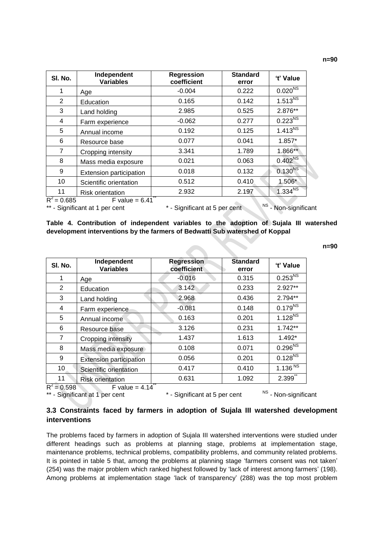**n=90**

| SI. No.        | Independent<br><b>Variables</b> | <b>Regression</b><br>coefficient | <b>Standard</b><br>error | 't' Value                |
|----------------|---------------------------------|----------------------------------|--------------------------|--------------------------|
| 1              | Age                             | $-0.004$                         | 0.222                    | $0.020^{NS}$             |
| $\overline{2}$ | Education                       | 0.165                            | 0.142                    | $1.513^{NS}$             |
| 3              | Land holding                    | 2.985                            | 0.525                    | 2.876**                  |
| 4              | Farm experience                 | $-0.062$                         | 0.277                    | $0.223^{N_S}$            |
| 5              | Annual income                   | 0.192                            | 0.125                    | 1.413 $\overline{^{NS}}$ |
| 6              | Resource base                   | 0.077                            | 0.041                    | $1.857*$                 |
| 7              | Cropping intensity              | 3.341                            | 1.789                    | 1.866**                  |
| 8              | Mass media exposure             | 0.021                            | 0.063                    | 0.402 <sup>NS</sup>      |
| 9              | Extension participation         | 0.018                            | 0.132                    | $0.130^{NS}$             |
| 10             | Scientific orientation          | 0.512                            | 0.410                    | 1.506*                   |
| 11             | <b>Risk orientation</b>         | 2.932                            | 2.197                    | $1.334^{NS}$             |
| $R^2 = 0.685$  | $F$ value = 6.41                |                                  |                          |                          |

\*\* - Significant at 1 per cent \* - Significant at 5 per cent <sup>NS</sup> - Non-significant

**Table 4. Contribution of independent variables to the adoption of Sujala III watershed development interventions by the farmers of Bedwatti Sub watershed of Koppal**

**n=90**

| SI. No.        | Independent<br><b>Variables</b> | <b>Regression</b><br>coefficient | <b>Standard</b><br>error | 't' Value           |
|----------------|---------------------------------|----------------------------------|--------------------------|---------------------|
| 1              | Age                             | $-0.016$                         | 0.315                    | $0.253^{NS}$        |
| 2              | Education                       | 3.142                            | 0.233                    | $2.927**$           |
| 3              | Land holding                    | 2.968                            | 0.436                    | 2.794**             |
| 4              | Farm experience                 | $-0.081$                         | 0.148                    | $0.179^{NS}$        |
| 5              | Annual income                   | 0.163                            | 0.201                    | $1.128^{NS}$        |
| 6              | Resource base                   | 3.126                            | 0.231                    | $1.742**$           |
| $\overline{7}$ | Cropping intensity              | 1.437                            | 1.613                    | 1.492*              |
| 8              | Mass media exposure             | 0.108                            | 0.071                    | $0.296^{N_{\rm s}}$ |
| 9              | <b>Extension participation</b>  | 0.056                            | 0.201                    | $0.128^{NS}$        |
| 10             | Scientific orientation          | 0.417                            | 0.410                    | 1.136 $^{NS}$       |
| 11             | <b>Risk orientation</b>         | 0.631                            | 1.092                    | 2.399               |
| $R^2 = 0.598$  | F value = $4.14$                |                                  | <b>NIC</b>               |                     |

\*\* - Significant at 1 per cent \* - Significant at 5 per cent

<sup>NS</sup> - Non-significant

# **3.3 Constraints faced by farmers in adoption of Sujala III watershed development interventions**

The problems faced by farmers in adoption of Sujala III watershed interventions were studied under different headings such as problems at planning stage, problems at implementation stage, maintenance problems, technical problems, compatibility problems, and community related problems. It is pointed in table 5 that, among the problems at planning stage 'farmers consent was not taken' (254) was the major problem which ranked highest followed by 'lack of interest among farmers' (198). Among problems at implementation stage 'lack of transparency' (288) was the top most problem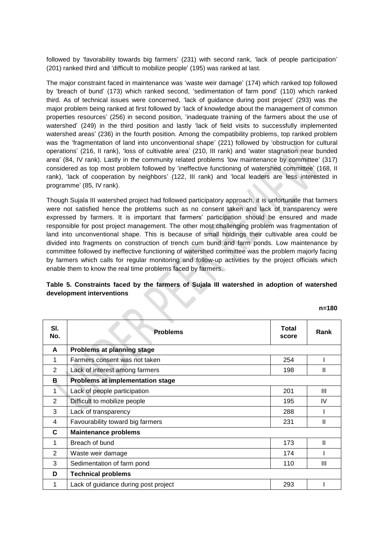followed by 'favorability towards big farmers' (231) with second rank, 'lack of people participation' (201) ranked third and 'difficult to mobilize people' (195) was ranked at last.

The major constraint faced in maintenance was 'waste weir damage' (174) which ranked top followed by 'breach of bund' (173) which ranked second, 'sedimentation of farm pond' (110) which ranked third. As of technical issues were concerned, 'lack of guidance during post project' (293) was the major problem being ranked at first followed by 'lack of knowledge about the management of common properties resources' (256) in second position, 'inadequate training of the farmers about the use of watershed' (249) in the third position and lastly 'lack of field visits to successfully implemented watershed areas' (236) in the fourth position. Among the compatibility problems, top ranked problem was the 'fragmentation of land into unconventional shape' (221) followed by 'obstruction for cultural operations' (216, II rank), 'loss of cultivable area' (210, III rank) and 'water stagnation near bunded area' (84, IV rank). Lastly in the community related problems 'low maintenance by committee' (317) considered as top most problem followed by 'ineffective functioning of watershed committee' (168, II rank), 'lack of cooperation by neighbors' (122, III rank) and 'local leaders are less interested in programme' (85, IV rank).

Though Sujala III watershed project had followed participatory approach, it is unfortunate that farmers were not satisfied hence the problems such as no consent taken and lack of transparency were expressed by farmers. It is important that farmers' participation should be ensured and made responsible for post project management. The other most challenging problem was fragmentation of land into unconventional shape. This is because of small holdings their cultivable area could be divided into fragments on construction of trench cum bund and farm ponds. Low maintenance by committee followed by ineffective functioning of watershed committee was the problem majorly facing by farmers which calls for regular monitoring and follow-up activities by the project officials which enable them to know the real time problems faced by farmers.

### **Table 5. Constraints faced by the farmers of Sujala III watershed in adoption of watershed development interventions**

**n=180**

| SI.<br>No. | <b>Problems</b>                      | <b>Total</b><br>score | Rank         |
|------------|--------------------------------------|-----------------------|--------------|
| A          | Problems at planning stage           |                       |              |
| 1          | Farmers consent was not taken        | 254                   |              |
| 2          | Lack of interest among farmers       | 198                   | Ш            |
| в          | Problems at implementation stage     |                       |              |
| 1          | Lack of people participation         | 201                   | Ш            |
| 2          | Difficult to mobilize people         | 195                   | IV           |
| 3          | Lack of transparency                 | 288                   |              |
| 4          | Favourability toward big farmers     | 231                   | $\mathbf{I}$ |
| C          | <b>Maintenance problems</b>          |                       |              |
| 1          | Breach of bund                       | 173                   | Ш            |
| 2          | Waste weir damage                    | 174                   |              |
| 3          | Sedimentation of farm pond           | 110                   | Ш            |
| D          | <b>Technical problems</b>            |                       |              |
| 1          | Lack of guidance during post project | 293                   |              |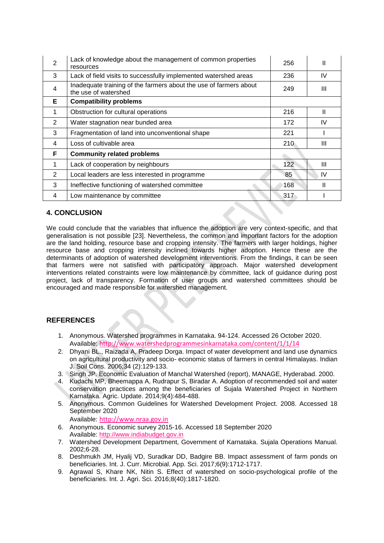| 2 | Lack of knowledge about the management of common properties<br>resources                  | 256 | Ш            |
|---|-------------------------------------------------------------------------------------------|-----|--------------|
| 3 | Lack of field visits to successfully implemented watershed areas                          | 236 | IV           |
| 4 | Inadequate training of the farmers about the use of farmers about<br>the use of watershed | 249 | Ш            |
| Е | <b>Compatibility problems</b>                                                             |     |              |
| 1 | Obstruction for cultural operations                                                       | 216 | Ш            |
| 2 | Water stagnation near bunded area                                                         | 172 | IV           |
| 3 | Fragmentation of land into unconventional shape                                           | 221 |              |
| 4 | Loss of cultivable area                                                                   | 210 | Ш            |
| F | <b>Community related problems</b>                                                         |     |              |
| 1 | Lack of cooperation by neighbours                                                         | 122 | Ш            |
| 2 | Local leaders are less interested in programme                                            | 85  | IV           |
| 3 | Ineffective functioning of watershed committee                                            | 168 | $\mathbf{I}$ |
| 4 | Low maintenance by committee                                                              | 317 |              |

# **4. CONCLUSION**

We could conclude that the variables that influence the adoption are very context-specific, and that generalisation is not possible [23]. Nevertheless, the common and important factors for the adoption are the land holding, resource base and cropping intensity. The farmers with larger holdings, higher resource base and cropping intensity inclined towards higher adoption. Hence these are the determinants of adoption of watershed development interventions. From the findings, it can be seen that farmers were not satisfied with participatory approach. Major watershed development interventions related constraints were low maintenance by committee, lack of guidance during post project, lack of transparency. Formation of user groups and watershed committees should be encouraged and made responsible for watershed management.

# **REFERENCES**

- 1. Anonymous. Watershed programmes in Karnataka. 94-124. Accessed 26 October 2020. Available: <http://www.watershedprogrammesinkarnataka.com/content/1/1/14>
- 2. Dhyani BL., Raizada A, Pradeep Dorga. Impact of water development and land use dynamics on agricultural productivity and socio- economic status of farmers in central Himalayas. Indian J. Soil Cons. 2006;34 (2):129-133.
- 3. Singh JP. Economic Evaluation of Manchal Watershed (report), MANAGE, Hyderabad. 2000.
- 4. Kudachi MP, Bheemappa A, Rudrapur S, Biradar A. Adoption of recommended soil and water conservation practices among the beneficiaries of Sujala Watershed Project in Northern Karnataka. Agric. Update. 2014;9(4):484-488.
- 5. Anonymous. Common Guidelines for Watershed Development Project. 2008. Accessed 18 September 2020

Available: [http://www.nraa.gov.in](http://www.nraa.gov.in/)

- 6. Anonymous. Economic survey 2015-16. Accessed 18 September 2020 Available: [http://www.indiabudget.gov.in](http://www.indiabudget.gov.in/)
- 7. Watershed Development Department, Government of Karnataka. Sujala Operations Manual. 2002;6-28.
- 8. Deshmukh JM, Hyalij VD, Suradkar DD, Badgire BB. Impact assessment of farm ponds on beneficiaries. Int. J. Curr. Microbial. App. Sci. 2017;6(9):1712-1717.
- 9. Agrawal S, Khare NK, Nitin S. Effect of watershed on socio-psychological profile of the beneficiaries. Int. J. Agri. Sci. 2016;8(40):1817-1820.